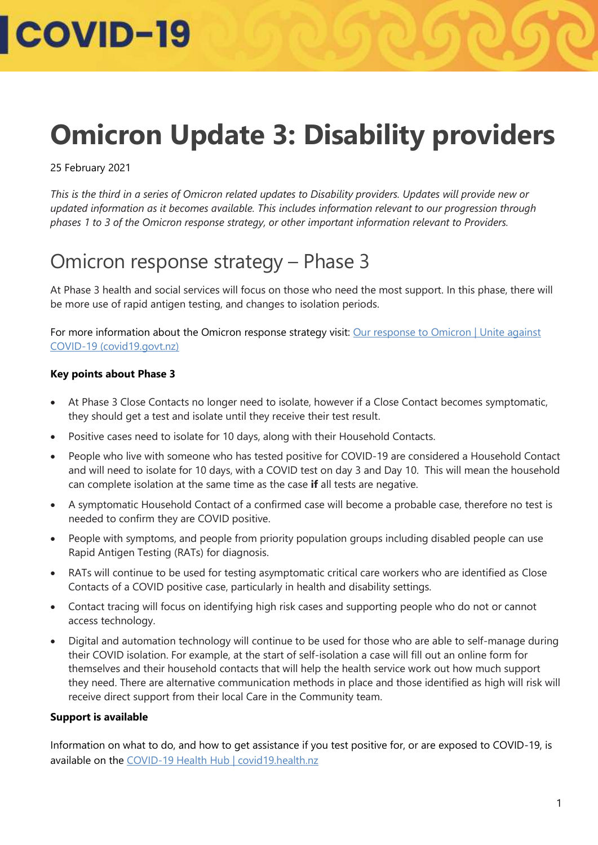### **Omicron Update 3: Disability providers**

#### 25 February 2021

*This is the third in a series of Omicron related updates to Disability providers. Updates will provide new or updated information as it becomes available. This includes information relevant to our progression through phases 1 to 3 of the Omicron response strategy, or other important information relevant to Providers.* 

### Omicron response strategy – Phase 3

At Phase 3 health and social services will focus on those who need the most support. In this phase, there will be more use of rapid antigen testing, and changes to isolation periods.

For more information about the Omicron response strategy visit: Our response to Omicron | Unite against [COVID-19 \(covid19.govt.nz\)](https://covid19.govt.nz/prepare-and-stay-safe/about-covid-19/our-response-to-omicron/#there-will-be-3-phases)

#### **Key points about Phase 3**

- At Phase 3 Close Contacts no longer need to isolate, however if a Close Contact becomes symptomatic, they should get a test and isolate until they receive their test result.
- Positive cases need to isolate for 10 days, along with their Household Contacts.
- People who live with someone who has tested positive for COVID-19 are considered a Household Contact and will need to isolate for 10 days, with a COVID test on day 3 and Day 10. This will mean the household can complete isolation at the same time as the case **if** all tests are negative.
- A symptomatic Household Contact of a confirmed case will become a probable case, therefore no test is needed to confirm they are COVID positive.
- People with symptoms, and people from priority population groups including disabled people can use Rapid Antigen Testing (RATs) for diagnosis.
- RATs will continue to be used for testing asymptomatic critical care workers who are identified as Close Contacts of a COVID positive case, particularly in health and disability settings.
- Contact tracing will focus on identifying high risk cases and supporting people who do not or cannot access technology.
- Digital and automation technology will continue to be used for those who are able to self-manage during their COVID isolation. For example, at the start of self-isolation a case will fill out an online form for themselves and their household contacts that will help the health service work out how much support they need. There are alternative communication methods in place and those identified as high will risk will receive direct support from their local Care in the Community team.

#### **Support is available**

Information on what to do, and how to get assistance if you test positive for, or are exposed to COVID-19, is available on the [COVID-19 Health Hub](https://covid19.health.nz/advice) | covid19.health.nz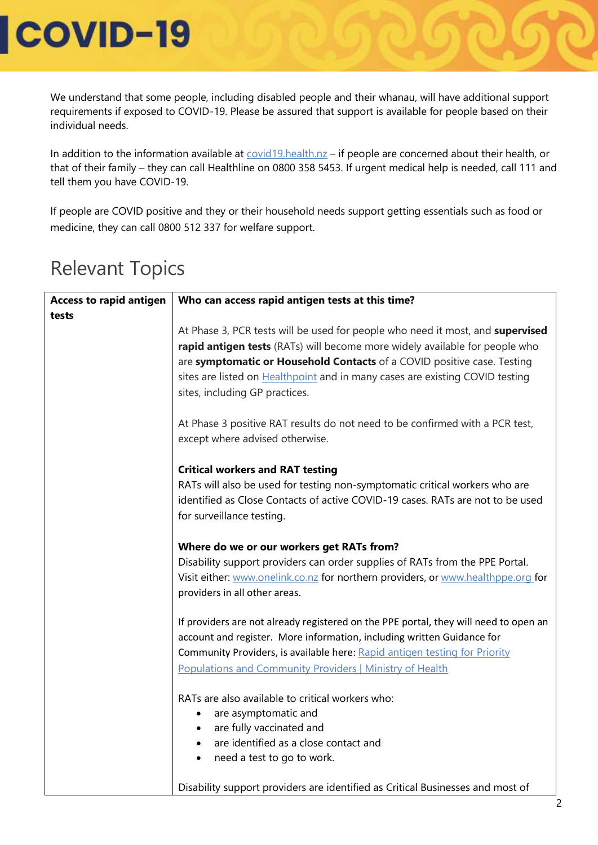We understand that some people, including disabled people and their whanau, will have additional support requirements if exposed to COVID-19. Please be assured that support is available for people based on their individual needs.

In addition to the information available at [covid19.health.nz](https://covid19.health.nz/advice) - if people are concerned about their health, or that of their family – they can call Healthline on 0800 358 5453. If urgent medical help is needed, call 111 and tell them you have COVID-19.

If people are COVID positive and they or their household needs support getting essentials such as food or medicine, they can call 0800 512 337 for welfare support.

| <b>Access to rapid antigen</b> | Who can access rapid antigen tests at this time?                                     |
|--------------------------------|--------------------------------------------------------------------------------------|
| tests                          |                                                                                      |
|                                | At Phase 3, PCR tests will be used for people who need it most, and supervised       |
|                                | rapid antigen tests (RATs) will become more widely available for people who          |
|                                | are symptomatic or Household Contacts of a COVID positive case. Testing              |
|                                | sites are listed on <b>Healthpoint</b> and in many cases are existing COVID testing  |
|                                | sites, including GP practices.                                                       |
|                                | At Phase 3 positive RAT results do not need to be confirmed with a PCR test,         |
|                                | except where advised otherwise.                                                      |
|                                | <b>Critical workers and RAT testing</b>                                              |
|                                | RATs will also be used for testing non-symptomatic critical workers who are          |
|                                | identified as Close Contacts of active COVID-19 cases. RATs are not to be used       |
|                                | for surveillance testing.                                                            |
|                                | Where do we or our workers get RATs from?                                            |
|                                | Disability support providers can order supplies of RATs from the PPE Portal.         |
|                                | Visit either: www.onelink.co.nz for northern providers, or www.healthppe.org for     |
|                                | providers in all other areas.                                                        |
|                                | If providers are not already registered on the PPE portal, they will need to open an |
|                                | account and register. More information, including written Guidance for               |
|                                | Community Providers, is available here: Rapid antigen testing for Priority           |
|                                | <b>Populations and Community Providers   Ministry of Health</b>                      |
|                                |                                                                                      |
|                                | RATs are also available to critical workers who:                                     |
|                                | are asymptomatic and                                                                 |
|                                | are fully vaccinated and                                                             |
|                                | are identified as a close contact and                                                |
|                                | need a test to go to work.<br>$\bullet$                                              |
|                                | Disability support providers are identified as Critical Businesses and most of       |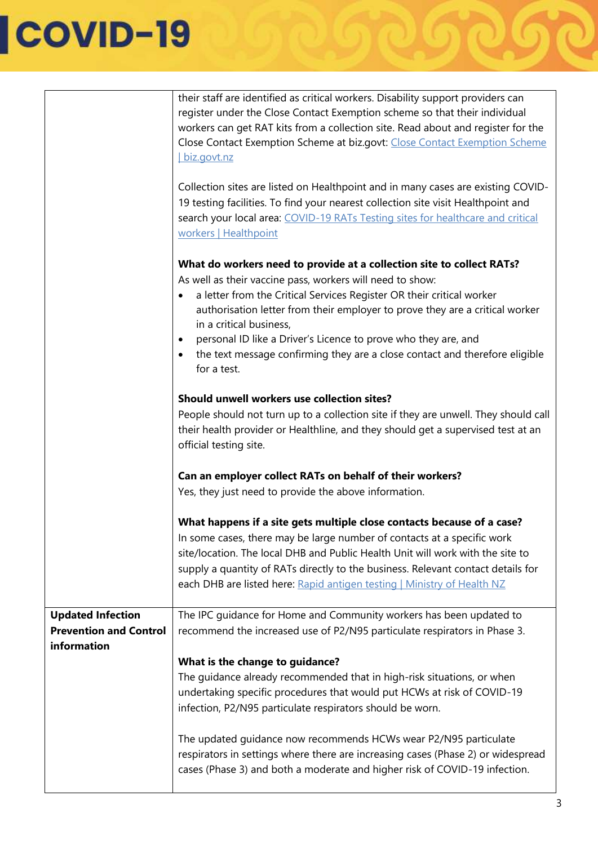|                                                                          | their staff are identified as critical workers. Disability support providers can<br>register under the Close Contact Exemption scheme so that their individual<br>workers can get RAT kits from a collection site. Read about and register for the<br>Close Contact Exemption Scheme at biz.govt: Close Contact Exemption Scheme<br>biz.govt.nz<br>Collection sites are listed on Healthpoint and in many cases are existing COVID-<br>19 testing facilities. To find your nearest collection site visit Healthpoint and<br>search your local area: COVID-19 RATs Testing sites for healthcare and critical<br>workers   Healthpoint |
|--------------------------------------------------------------------------|--------------------------------------------------------------------------------------------------------------------------------------------------------------------------------------------------------------------------------------------------------------------------------------------------------------------------------------------------------------------------------------------------------------------------------------------------------------------------------------------------------------------------------------------------------------------------------------------------------------------------------------|
|                                                                          | What do workers need to provide at a collection site to collect RATs?<br>As well as their vaccine pass, workers will need to show:<br>a letter from the Critical Services Register OR their critical worker<br>$\bullet$<br>authorisation letter from their employer to prove they are a critical worker<br>in a critical business,<br>personal ID like a Driver's Licence to prove who they are, and<br>$\bullet$<br>the text message confirming they are a close contact and therefore eligible<br>$\bullet$                                                                                                                       |
|                                                                          | for a test.<br>Should unwell workers use collection sites?<br>People should not turn up to a collection site if they are unwell. They should call<br>their health provider or Healthline, and they should get a supervised test at an<br>official testing site.                                                                                                                                                                                                                                                                                                                                                                      |
|                                                                          | Can an employer collect RATs on behalf of their workers?<br>Yes, they just need to provide the above information.                                                                                                                                                                                                                                                                                                                                                                                                                                                                                                                    |
|                                                                          | What happens if a site gets multiple close contacts because of a case?<br>In some cases, there may be large number of contacts at a specific work<br>site/location. The local DHB and Public Health Unit will work with the site to<br>supply a quantity of RATs directly to the business. Relevant contact details for<br>each DHB are listed here: Rapid antigen testing   Ministry of Health NZ                                                                                                                                                                                                                                   |
| <b>Updated Infection</b><br><b>Prevention and Control</b><br>information | The IPC guidance for Home and Community workers has been updated to<br>recommend the increased use of P2/N95 particulate respirators in Phase 3.                                                                                                                                                                                                                                                                                                                                                                                                                                                                                     |
|                                                                          | What is the change to guidance?<br>The quidance already recommended that in high-risk situations, or when<br>undertaking specific procedures that would put HCWs at risk of COVID-19<br>infection, P2/N95 particulate respirators should be worn.<br>The updated guidance now recommends HCWs wear P2/N95 particulate<br>respirators in settings where there are increasing cases (Phase 2) or widespread<br>cases (Phase 3) and both a moderate and higher risk of COVID-19 infection.                                                                                                                                              |

 $\mathcal{O}$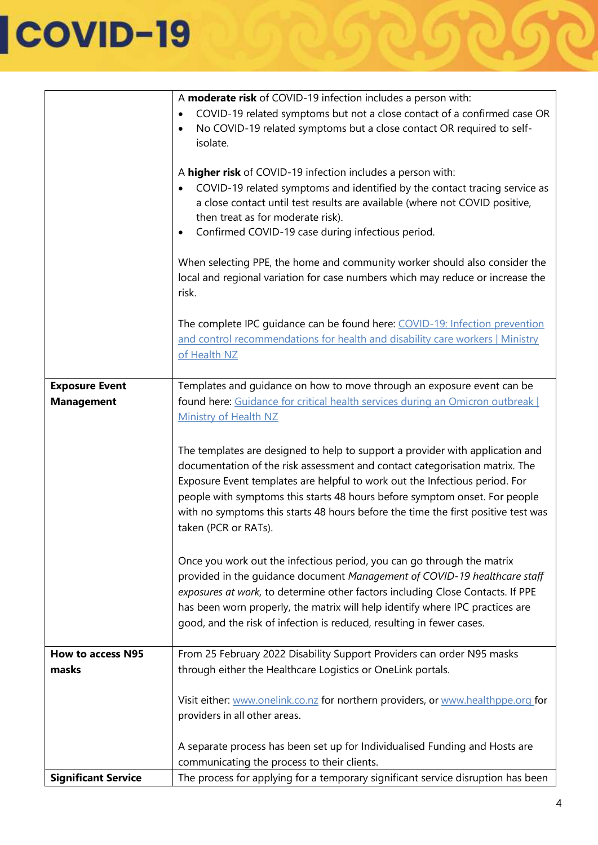|                            | A moderate risk of COVID-19 infection includes a person with:                      |
|----------------------------|------------------------------------------------------------------------------------|
|                            | COVID-19 related symptoms but not a close contact of a confirmed case OR           |
|                            | No COVID-19 related symptoms but a close contact OR required to self-<br>$\bullet$ |
|                            | isolate.                                                                           |
|                            |                                                                                    |
|                            | A higher risk of COVID-19 infection includes a person with:                        |
|                            | COVID-19 related symptoms and identified by the contact tracing service as         |
|                            | a close contact until test results are available (where not COVID positive,        |
|                            | then treat as for moderate risk).                                                  |
|                            | Confirmed COVID-19 case during infectious period.                                  |
|                            |                                                                                    |
|                            | When selecting PPE, the home and community worker should also consider the         |
|                            | local and regional variation for case numbers which may reduce or increase the     |
|                            | risk.                                                                              |
|                            |                                                                                    |
|                            | The complete IPC guidance can be found here: COVID-19: Infection prevention        |
|                            | and control recommendations for health and disability care workers   Ministry      |
|                            | of Health NZ                                                                       |
|                            |                                                                                    |
| <b>Exposure Event</b>      | Templates and guidance on how to move through an exposure event can be             |
| <b>Management</b>          | found here: Guidance for critical health services during an Omicron outbreak       |
|                            |                                                                                    |
|                            | <b>Ministry of Health NZ</b>                                                       |
|                            |                                                                                    |
|                            | The templates are designed to help to support a provider with application and      |
|                            | documentation of the risk assessment and contact categorisation matrix. The        |
|                            | Exposure Event templates are helpful to work out the Infectious period. For        |
|                            | people with symptoms this starts 48 hours before symptom onset. For people         |
|                            | with no symptoms this starts 48 hours before the time the first positive test was  |
|                            | taken (PCR or RATs).                                                               |
|                            |                                                                                    |
|                            | Once you work out the infectious period, you can go through the matrix             |
|                            | provided in the guidance document Management of COVID-19 healthcare staff          |
|                            | exposures at work, to determine other factors including Close Contacts. If PPE     |
|                            | has been worn properly, the matrix will help identify where IPC practices are      |
|                            | good, and the risk of infection is reduced, resulting in fewer cases.              |
|                            |                                                                                    |
| <b>How to access N95</b>   | From 25 February 2022 Disability Support Providers can order N95 masks             |
| masks                      | through either the Healthcare Logistics or OneLink portals.                        |
|                            |                                                                                    |
|                            | Visit either: www.onelink.co.nz for northern providers, or www.healthppe.org for   |
|                            | providers in all other areas.                                                      |
|                            |                                                                                    |
|                            | A separate process has been set up for Individualised Funding and Hosts are        |
|                            |                                                                                    |
|                            | communicating the process to their clients.                                        |
| <b>Significant Service</b> | The process for applying for a temporary significant service disruption has been   |

DIG